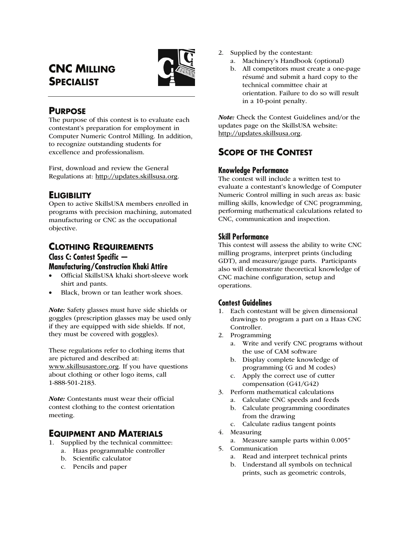# **CNC MILLING SPECIALIST**



# **PURPOSE**

The purpose of this contest is to evaluate each contestant's preparation for employment in Computer Numeric Control Milling. In addition, to recognize outstanding students for excellence and professionalism.

First, download and review the General Regulations at: http://updates.skillsusa.org.

# **ELIGIBILITY**

Open to active SkillsUSA members enrolled in programs with precision machining, automated manufacturing or CNC as the occupational objective.

# **CLOTHING REQUIREMENTS**

## **Class C: Contest Specific — Manufacturing/Construction Khaki Attire**

- Official SkillsUSA khaki short-sleeve work shirt and pants.
- Black, brown or tan leather work shoes.

Note: Safety glasses must have side shields or goggles (prescription glasses may be used only if they are equipped with side shields. If not, they must be covered with goggles).

These regulations refer to clothing items that are pictured and described at: www.skillsusastore.org. If you have questions about clothing or other logo items, call 1-888-501-2183.

Note: Contestants must wear their official contest clothing to the contest orientation meeting.

## **EQUIPMENT AND MATERIALS**

- 1. Supplied by the technical committee:
	- a. Haas programmable controller
	- b. Scientific calculator
	- c. Pencils and paper
- 2. Supplied by the contestant:
	- a. Machinery's Handbook (optional)
	- b. All competitors must create a one-page résumé and submit a hard copy to the technical committee chair at orientation. Failure to do so will result in a 10-point penalty.

Note: Check the Contest Guidelines and/or the updates page on the SkillsUSA website: http://updates.skillsusa.org.

# **SCOPE OF THE CONTEST**

## **Knowledge Performance**

The contest will include a written test to evaluate a contestant's knowledge of Computer Numeric Control milling in such areas as: basic milling skills, knowledge of CNC programming, performing mathematical calculations related to CNC, communication and inspection.

## **Skill Performance**

This contest will assess the ability to write CNC milling programs, interpret prints (including GDT), and measure/gauge parts. Participants also will demonstrate theoretical knowledge of CNC machine configuration, setup and operations.

## **Contest Guidelines**

- 1. Each contestant will be given dimensional drawings to program a part on a Haas CNC Controller.
- 2. Programming
	- a. Write and verify CNC programs without the use of CAM software
	- b. Display complete knowledge of programming (G and M codes)
	- c. Apply the correct use of cutter compensation (G41/G42)
- 3. Perform mathematical calculations
	- a. Calculate CNC speeds and feeds
	- b. Calculate programming coordinates from the drawing
	- c. Calculate radius tangent points
- 4. Measuring
	- a. Measure sample parts within 0.005"
- 5. Communication
	- a. Read and interpret technical prints
	- b. Understand all symbols on technical prints, such as geometric controls,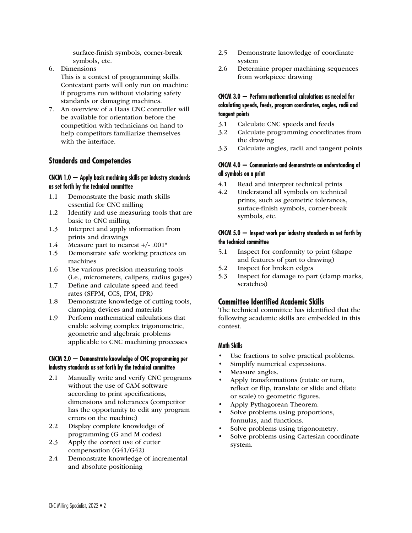surface-finish symbols, corner-break symbols, etc.

- 6. Dimensions This is a contest of programming skills. Contestant parts will only run on machine if programs run without violating safety standards or damaging machines.
- 7. An overview of a Haas CNC controller will be available for orientation before the competition with technicians on hand to help competitors familiarize themselves with the interface.

## **Standards and Competencies**

#### **CNCM 1.0 — Apply basic machining skills per industry standards as set forth by the technical committee**

- 1.1 Demonstrate the basic math skills essential for CNC milling
- 1.2 Identify and use measuring tools that are basic to CNC milling
- 1.3 Interpret and apply information from prints and drawings
- 1.4 Measure part to nearest +/- .001"
- 1.5 Demonstrate safe working practices on machines
- 1.6 Use various precision measuring tools (i.e., micrometers, calipers, radius gages)
- 1.7 Define and calculate speed and feed rates (SFPM, CCS, IPM, IPR)
- 1.8 Demonstrate knowledge of cutting tools, clamping devices and materials
- 1.9 Perform mathematical calculations that enable solving complex trigonometric, geometric and algebraic problems applicable to CNC machining processes

## **CNCM 2.0 — Demonstrate knowledge of CNC programming per industry standards as set forth by the technical committee**

- 2.1 Manually write and verify CNC programs without the use of CAM software according to print specifications, dimensions and tolerances (competitor has the opportunity to edit any program errors on the machine)
- 2.2 Display complete knowledge of programming (G and M codes)
- 2.3 Apply the correct use of cutter compensation (G41/G42)
- 2.4 Demonstrate knowledge of incremental and absolute positioning
- 2.5 Demonstrate knowledge of coordinate system
- 2.6 Determine proper machining sequences from workpiece drawing

## **CNCM 3.0 — Perform mathematical calculations as needed for calculating speeds, feeds, program coordinates, angles, radii and tangent points**

- 3.1 Calculate CNC speeds and feeds
- 3.2 Calculate programming coordinates from the drawing
- 3.3 Calculate angles, radii and tangent points

### **CNCM 4.0 — Communicate and demonstrate an understanding of all symbols on a print**

- 4.1 Read and interpret technical prints
- 4.2 Understand all symbols on technical prints, such as geometric tolerances, surface-finish symbols, corner-break symbols, etc.

### **CNCM 5.0 — Inspect work per industry standards as set forth by the technical committee**

- 5.1 Inspect for conformity to print (shape and features of part to drawing)
- 5.2 Inspect for broken edges
- 5.3 Inspect for damage to part (clamp marks, scratches)

## **Committee Identified Academic Skills**

The technical committee has identified that the following academic skills are embedded in this contest.

### **Math Skills**

- Use fractions to solve practical problems.
- Simplify numerical expressions.
- Measure angles.
- Apply transformations (rotate or turn, reflect or flip, translate or slide and dilate or scale) to geometric figures.
- Apply Pythagorean Theorem.
- Solve problems using proportions, formulas, and functions.
- Solve problems using trigonometry.
- Solve problems using Cartesian coordinate system.